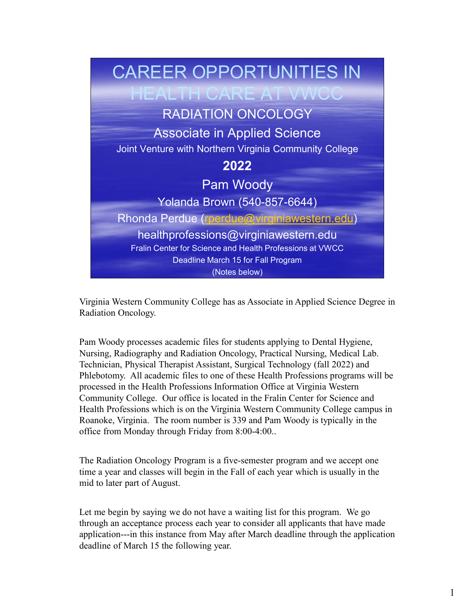

Virginia Western Community College has as Associate in Applied Science Degree in Radiation Oncology.

Pam Woody processes academic files for students applying to Dental Hygiene, Nursing, Radiography and Radiation Oncology, Practical Nursing, Medical Lab. Technician, Physical Therapist Assistant, Surgical Technology (fall 2022) and Phlebotomy. All academic files to one of these Health Professions programs will be processed in the Health Professions Information Office at Virginia Western Yolanda Brown (540-857-6644)<br>
Rhonda Perdue (**marchue @winginiawestern.edu**)<br>
healthprofessions @virginiawestern.edu<br>
Fralin Center for Science and Health Professions at VWCC<br>
Deadline March 15 for Fall Program<br>
(Notes bel Health Professions which is on the Virginia Western Community College campus in Roanoke, Virginia. The room number is 339 and Pam Woody is typically in the office from Monday through Friday from 8:00-4:00.. **Example 19 The Radiation Oncology Program is a five-semester program Nord Science Degree in Radiation Oncology.**<br> **Pam Woody processes academic files for students applying to Dental Hygiene,**<br> **Pam Woody processes academi** 

time a year and classes will begin in the Fall of each year which is usually in the mid to later part of August.

Let me begin by saying we do not have a waiting list for this program. We go through an acceptance process each year to consider all applicants that have made application---in this instance from May after March deadline through the application deadline of March 15 the following year.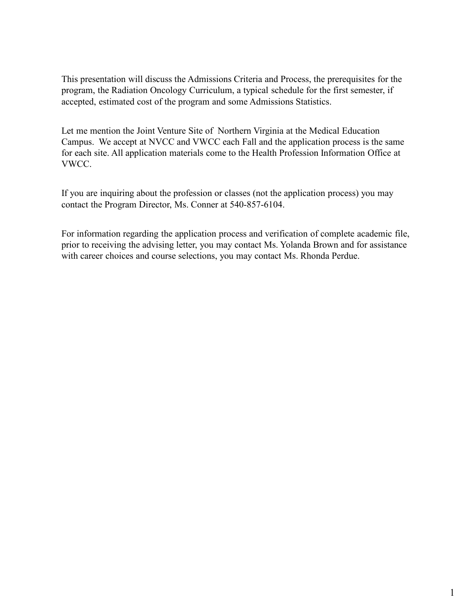This presentation will discuss the Admissions Criteria and Process, the prerequisites for the program, the Radiation Oncology Curriculum, a typical schedule for the first semester, if accepted, estimated cost of the program and some Admissions Statistics.

Let me mention the Joint Venture Site of Northern Virginia at the Medical Education This presentation will discuss the Admissions Criteria and Process, the prerequisites for the program, the Radiation Oncology Curriculum, a typical schedule for the first semester, if accepted, estimated cost of the progra for each site. All application materials come to the Health Profession Information Office at VWCC.

If you are inquiring about the profession or classes (not the application process) you may contact the Program Director, Ms. Conner at 540-857-6104.

For information regarding the application process and verification of complete academic file, prior to receiving the advising letter, you may contact Ms. Yolanda Brown and for assistance with career choices and course selections, you may contact Ms. Rhonda Perdue.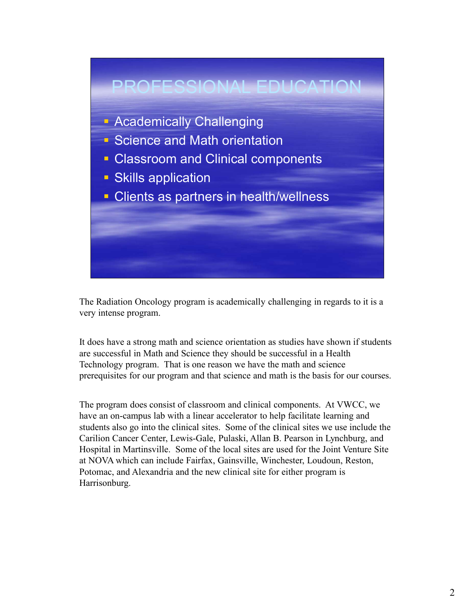

The Radiation Oncology program is academically challenging in regards to it is a very intense program.

It does have a strong math and science orientation as studies have shown if students are successful in Math and Science they should be successful in a Health Technology program. That is one reason we have the math and science prerequisites for our program and that science and math is the basis for our courses.

The program does consist of classroom and clinical components. At VWCC, we have an on-campus lab with a linear accelerator to help facilitate learning and students also go into the clinical sites. Some of the clinical sites we use include the Carilion Cancer Center, Lewis-Gale, Pulaski, Allan B. Pearson in Lynchburg, and Hospital in Martinsville. Some of the local sites are used for the Joint Venture Site at NOVA which can include Fairfax, Gainsville, Winchester, Loudoun, Reston, Potomac, and Alexandria and the new clinical site for either program is Harrisonburg.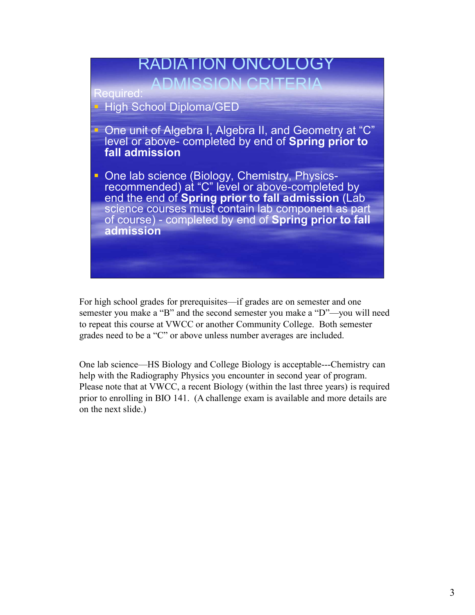

For high school grades for prerequisites—if grades are on semester and one semester you make a "B" and the second semester you make a "D"—you will need to repeat this course at VWCC or another Community College. Both semester grades need to be a "C" or above unless number averages are included.

One lab science—HS Biology and College Biology is acceptable---Chemistry can help with the Radiography Physics you encounter in second year of program. Please note that at VWCC, a recent Biology (within the last three years) is required prior to enrolling in BIO 141. (A challenge exam is available and more details are on the next slide.)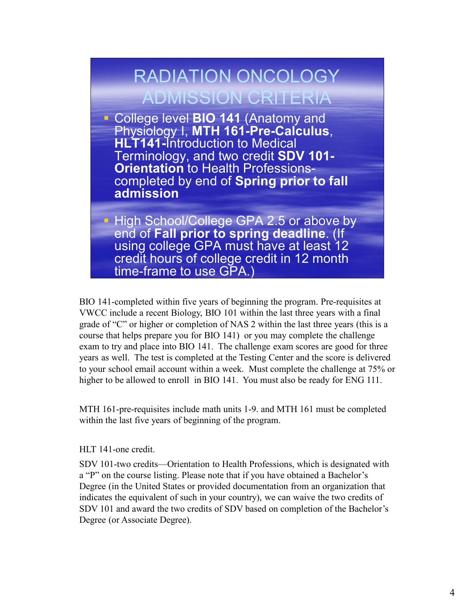# RADIATION ONCOLOGY ADMISSION CRITERIA

**College level BIO 141 (Anatomy and** Physiology I, MTH 161-Pre-Calculus,<br>HLT141-Introduction to Medical Terminology, and two credit SDV 101- **Orientation** to Health Professionscompleted by end of Spring prior to fall admission

 High School/College GPA 2.5 or above by end of Fall prior to spring deadline. (If using college GPA must have at least 12 credit hours of college credit in 12 month time-frame to use GPA.

BIO 141-completed within five years of beginning the program. Pre-requisites at VWCC include a recent Biology, BIO 101 within the last three years with a final grade of "C" or higher or completion of NAS 2 within the last three years (this is a course that helps prepare you for BIO 141) or you may complete the challenge exam to try and place into BIO 141. The challenge exam scores are good for three years as well. The test is completed at the Testing Center and the score is delivered to your school email account within a week. Must complete the challenge at 75% or higher to be allowed to enroll in BIO 141. You must also be ready for ENG 111.

MTH 161-pre-requisites include math units 1-9. and MTH 161 must be completed within the last five years of beginning of the program.

HLT 141-one credit.

SDV 101-two credits—Orientation to Health Professions, which is designated with a "P" on the course listing. Please note that if you have obtained a Bachelor's Degree (in the United States or provided documentation from an organization that indicates the equivalent of such in your country), we can waive the two credits of SDV 101 and award the two credits of SDV based on completion of the Bachelor's Degree (or Associate Degree).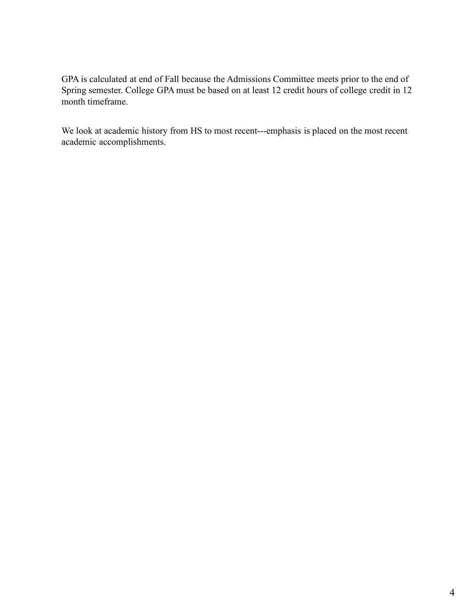GPA is calculated at end of Fall because the Admissions Committee meets prior to the end of Spring semester. College GPA must be based on at least 12 credit hours of college credit in 12 month timeframe.

We look at academic history from HS to most recent---emphasis is placed on the most recent academic accomplishments.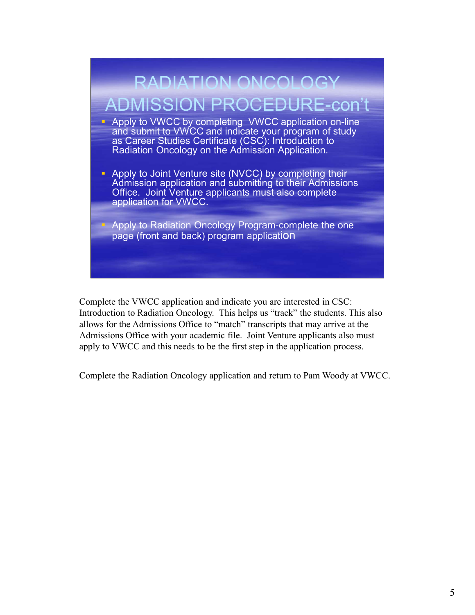

Complete the VWCC application and indicate you are interested in CSC: Introduction to Radiation Oncology. This helps us "track" the students. This also allows for the Admissions Office to "match" transcripts that may arrive at the Admissions Office with your academic file. Joint Venture applicants also must apply to VWCC and this needs to be the first step in the application process.

Complete the Radiation Oncology application and return to Pam Woody at VWCC.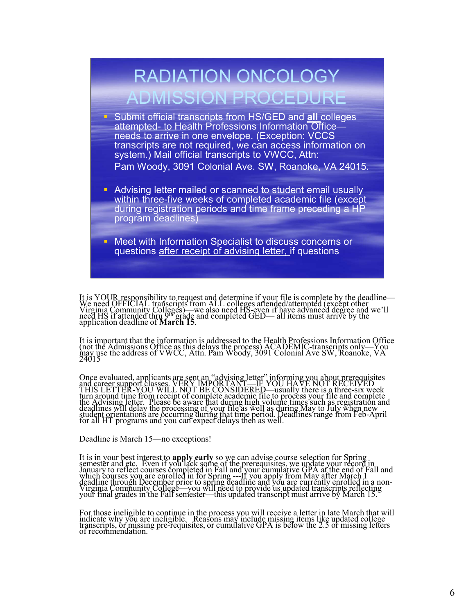

Once evaluated, applicants are sent an "advising letter" informing you about prerequisites<br>and career support classes. VERY IMPORTANT—IF YOU HAVE NOT RECEIVED<br>THIS LETTER-YOU WILL NOT BE CONSIDERED—usually there is a three

Deadline is March 15—no exceptions!

It is in your best interest to **apply early** so we can advise course selection for Spring<br>semester and etc. Even if you lack some of the prerequisites, we update your record in<br>January to reflect courses completed in Fall

For those ineligible to continue in the process you will receive a letter in late March that will indicate why you are ineligible. Reasons may include missing items like updated college transcripts, or missing pre-requisit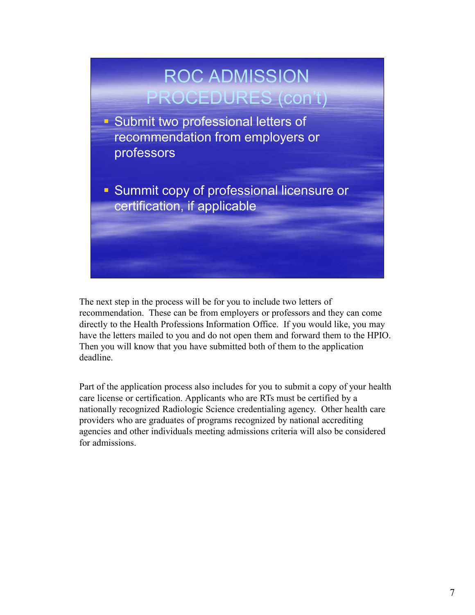

The next step in the process will be for you to include two letters of recommendation. These can be from employers or professors and they can come directly to the Health Professions Information Office. If you would like, you may have the letters mailed to you and do not open them and forward them to the HPIO. Then you will know that you have submitted both of them to the application deadline.

Part of the application process also includes for you to submit a copy of your health care license or certification. Applicants who are RTs must be certified by a nationally recognized Radiologic Science credentialing agency. Other health care providers who are graduates of programs recognized by national accrediting agencies and other individuals meeting admissions criteria will also be considered for admissions.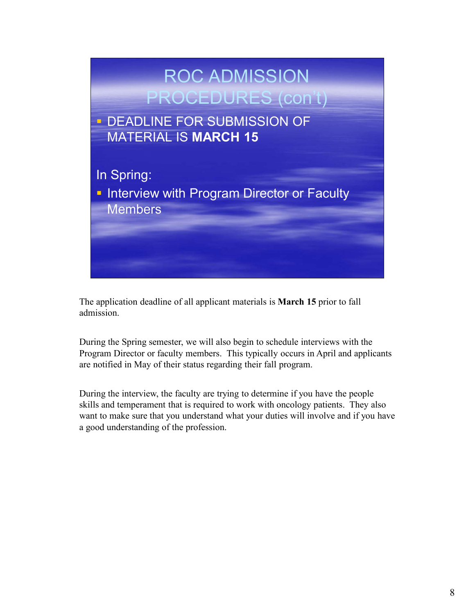

The application deadline of all applicant materials is March 15 prior to fall admission.

During the Spring semester, we will also begin to schedule interviews with the Program Director or faculty members. This typically occurs in April and applicants are notified in May of their status regarding their fall program.

During the interview, the faculty are trying to determine if you have the people skills and temperament that is required to work with oncology patients. They also want to make sure that you understand what your duties will involve and if you have a good understanding of the profession.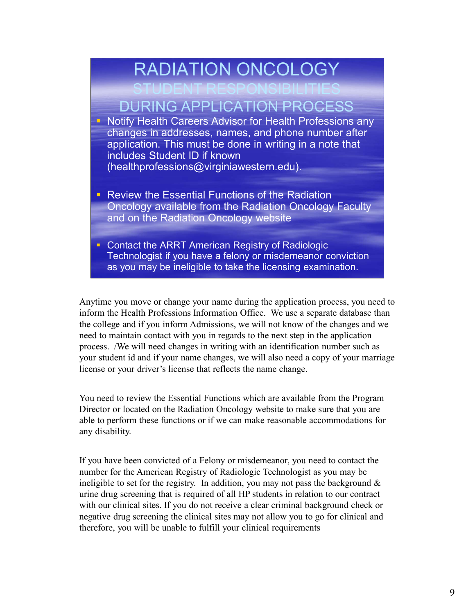

Anytime you move or change your name during the application process, you need to inform the Health Professions Information Office. We use a separate database than the college and if you inform Admissions, we will not know of the changes and we need to maintain contact with you in regards to the next step in the application process. /We will need changes in writing with an identification number such as your student id and if your name changes, we will also need a copy of your marriage license or your driver's license that reflects the name change.

You need to review the Essential Functions which are available from the Program Director or located on the Radiation Oncology website to make sure that you are able to perform these functions or if we can make reasonable accommodations for any disability.

If you have been convicted of a Felony or misdemeanor, you need to contact the number for the American Registry of Radiologic Technologist as you may be ineligible to set for the registry. In addition, you may not pass the background  $\&$ urine drug screening that is required of all HP students in relation to our contract with our clinical sites. If you do not receive a clear criminal background check or negative drug screening the clinical sites may not allow you to go for clinical and therefore, you will be unable to fulfill your clinical requirements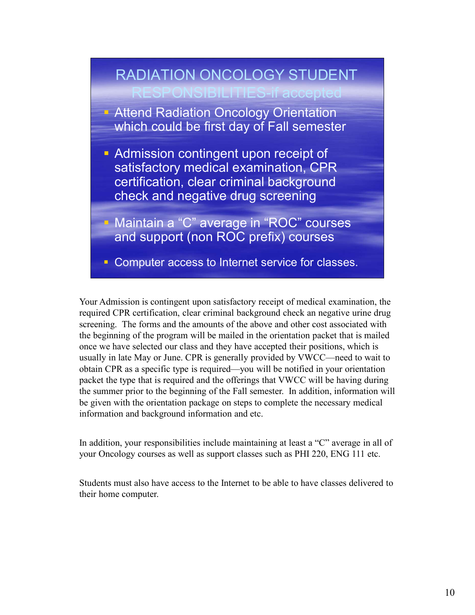

Your Admission is contingent upon satisfactory receipt of medical examination, the required CPR certification, clear criminal background check an negative urine drug screening. The forms and the amounts of the above and other cost associated with the beginning of the program will be mailed in the orientation packet that is mailed once we have selected our class and they have accepted their positions, which is usually in late May or June. CPR is generally provided by VWCC—need to wait to obtain CPR as a specific type is required—you will be notified in your orientation packet the type that is required and the offerings that VWCC will be having during the summer prior to the beginning of the Fall semester. In addition, information will be given with the orientation package on steps to complete the necessary medical information and background information and etc.

In addition, your responsibilities include maintaining at least a "C" average in all of your Oncology courses as well as support classes such as PHI 220, ENG 111 etc.

Students must also have access to the Internet to be able to have classes delivered to their home computer.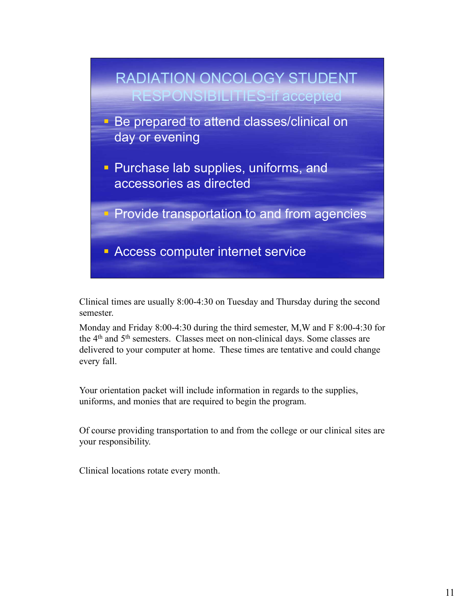

Clinical times are usually 8:00-4:30 on Tuesday and Thursday during the second semester.

Monday and Friday 8:00-4:30 during the third semester, M,W and F 8:00-4:30 for the 4<sup>th</sup> and 5<sup>th</sup> semesters. Classes meet on non-clinical days. Some classes are delivered to your computer at home. These times are tentative and could change every fall.

Your orientation packet will include information in regards to the supplies, uniforms, and monies that are required to begin the program.

Of course providing transportation to and from the college or our clinical sites are your responsibility.

Clinical locations rotate every month.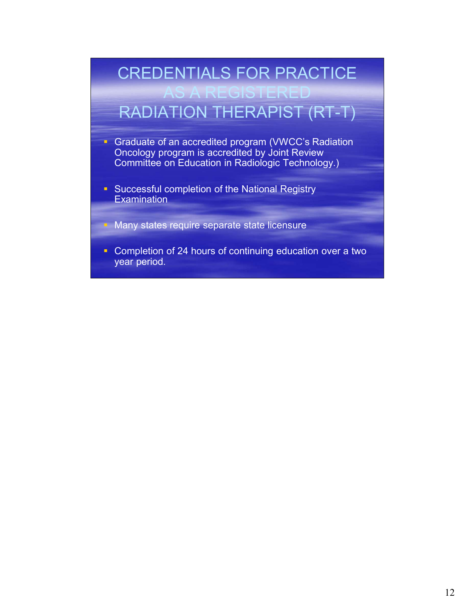### CREDENTIALS FOR PRACTICE

### AS A REGISTERED RADIATION THERAPIST (RT-T)

- Graduate of an accredited program (VWCC's Radiation Oncology program is accredited by Joint Review Committee on Education in Radiologic Technology.)
- **Successful completion of the National Registry Examination**

Many states require separate state licensure

**Completion of 24 hours of continuing education over a two** year period.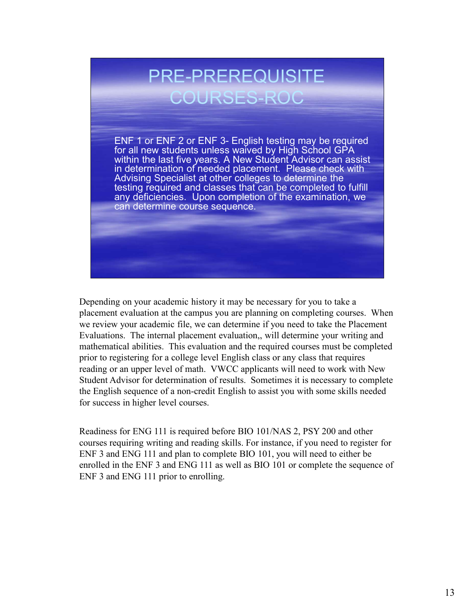# PRE-PREREQUISITE COURSES-ROC

PRE-PREREQUISITE<br>COURSES-ROC<br>ENF 1 or ENF 2 or ENF 3- English testing may be required<br>for all new students unless waived by High School GPA<br>within the last five years. A New Student Advisor can assist<br>in determination of n for all new students unless waived by High School GPA within the last five years. A New Student Advisor can assist in determination of needed placement. Please check with Advising Specialist at other colleges to determine the testing required and classes that can be completed to fulfill any deficiencies. Upon completion of the examination, we can determine course sequence.

Depending on your academic history it may be necessary for you to take a placement evaluation at the campus you are planning on completing courses. When we review your academic file, we can determine if you need to take the Placement Evaluations. The internal placement evaluation,, will determine your writing and mathematical abilities. This evaluation and the required courses must be completed prior to registering for a college level English class or any class that requires reading or an upper level of math. VWCC applicants will need to work with New Student Advisor for determination of results. Sometimes it is necessary to complete the English sequence of a non-credit English to assist you with some skills needed for success in higher level courses.

Readiness for ENG 111 is required before BIO 101/NAS 2, PSY 200 and other courses requiring writing and reading skills. For instance, if you need to register for ENF 3 and ENG 111 and plan to complete BIO 101, you will need to either be enrolled in the ENF 3 and ENG 111 as well as BIO 101 or complete the sequence of ENF 3 and ENG 111 prior to enrolling.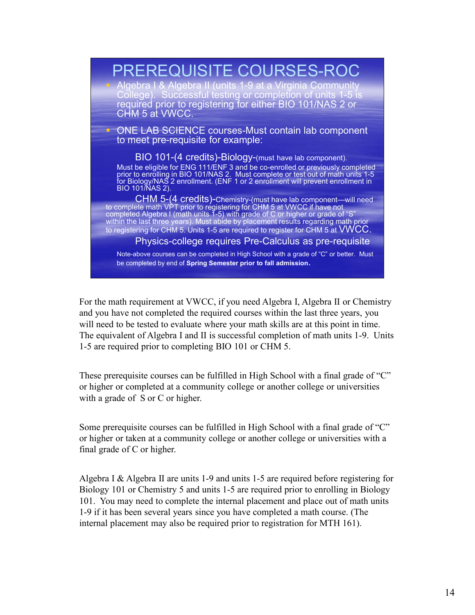

For the math requirement at VWCC, if you need Algebra I, Algebra II or Chemistry and you have not completed the required courses within the last three years, you will need to be tested to evaluate where your math skills are at this point in time. The equivalent of Algebra I and II is successful completion of math units 1-9. Units 1-5 are required prior to completing BIO 101 or CHM 5.

These prerequisite courses can be fulfilled in High School with a final grade of "C" or higher or completed at a community college or another college or universities with a grade of S or C or higher.

Some prerequisite courses can be fulfilled in High School with a final grade of "C" or higher or taken at a community college or another college or universities with a final grade of C or higher.

Algebra I & Algebra II are units 1-9 and units 1-5 are required before registering for Biology 101 or Chemistry 5 and units 1-5 are required prior to enrolling in Biology 101. You may need to complete the internal placement and place out of math units 1-9 if it has been several years since you have completed a math course. (The internal placement may also be required prior to registration for MTH 161).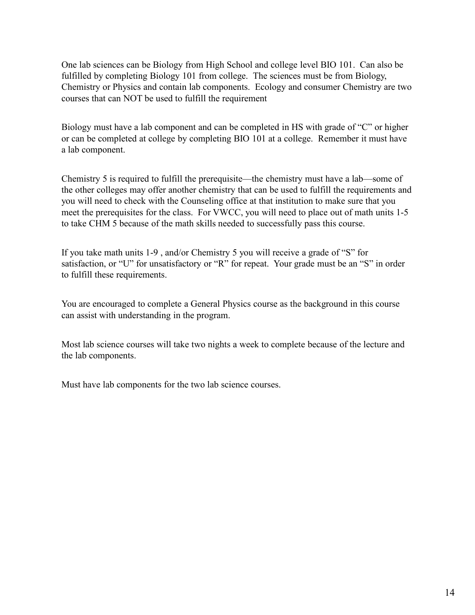One lab sciences can be Biology from High School and college level BIO 101. Can also be fulfilled by completing Biology 101 from college. The sciences must be from Biology, Chemistry or Physics and contain lab components. Ecology and consumer Chemistry are two courses that can NOT be used to fulfill the requirement

Biology must have a lab component and can be completed in HS with grade of "C" or higher or can be completed at college by completing BIO 101 at a college. Remember it must have a lab component.

Chemistry 5 is required to fulfill the prerequisite—the chemistry must have a lab—some of the other colleges may offer another chemistry that can be used to fulfill the requirements and you will need to check with the Counseling office at that institution to make sure that you meet the prerequisites for the class. For VWCC, you will need to place out of math units 1-5 to take CHM 5 because of the math skills needed to successfully pass this course.

If you take math units 1-9 , and/or Chemistry 5 you will receive a grade of "S" for satisfaction, or "U" for unsatisfactory or "R" for repeat. Your grade must be an "S" in order to fulfill these requirements.

You are encouraged to complete a General Physics course as the background in this course can assist with understanding in the program.

Most lab science courses will take two nights a week to complete because of the lecture and the lab components.

Must have lab components for the two lab science courses.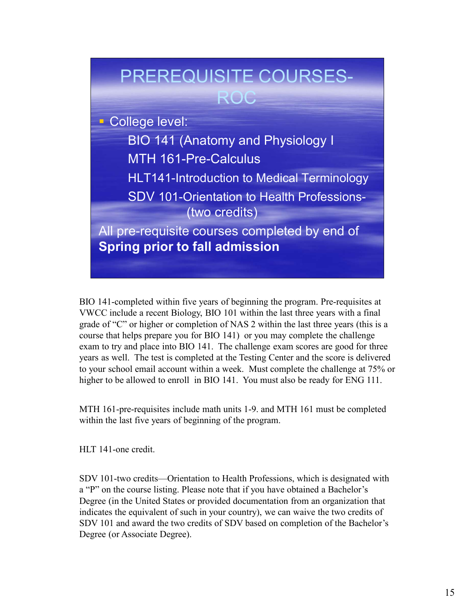

BIO 141-completed within five years of beginning the program. Pre-requisites at VWCC include a recent Biology, BIO 101 within the last three years with a final grade of "C" or higher or completion of NAS 2 within the last three years (this is a course that helps prepare you for BIO 141) or you may complete the challenge exam to try and place into BIO 141. The challenge exam scores are good for three years as well. The test is completed at the Testing Center and the score is delivered to your school email account within a week. Must complete the challenge at 75% or higher to be allowed to enroll in BIO 141. You must also be ready for ENG 111.

MTH 161-pre-requisites include math units 1-9. and MTH 161 must be completed within the last five years of beginning of the program.

HLT 141-one credit.

SDV 101-two credits—Orientation to Health Professions, which is designated with a "P" on the course listing. Please note that if you have obtained a Bachelor's Degree (in the United States or provided documentation from an organization that indicates the equivalent of such in your country), we can waive the two credits of SDV 101 and award the two credits of SDV based on completion of the Bachelor's Degree (or Associate Degree).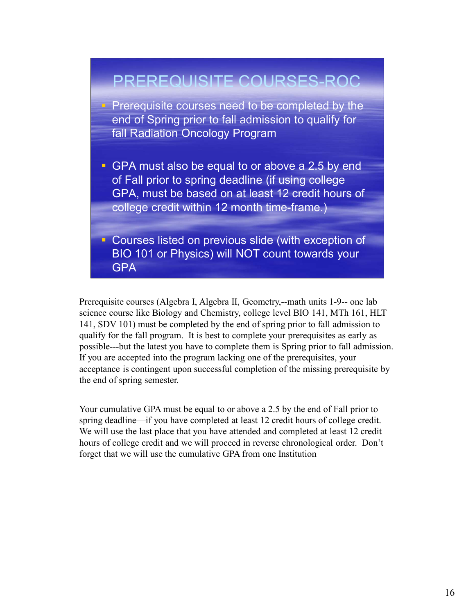

science course like Biology and Chemistry, college level BIO 141, MTh 161, HLT 141, SDV 101) must be completed by the end of spring prior to fall admission to qualify for the fall program. It is best to complete your prerequisites as early as possible---but the latest you have to complete them is Spring prior to fall admission. If you are accepted into the program lacking one of the prerequisites, your acceptance is contingent upon successful completion of the missing prerequisite by the end of spring semester.

Your cumulative GPA must be equal to or above a 2.5 by the end of Fall prior to spring deadline—if you have completed at least 12 credit hours of college credit. We will use the last place that you have attended and completed at least 12 credit hours of college credit and we will proceed in reverse chronological order. Don't forget that we will use the cumulative GPA from one Institution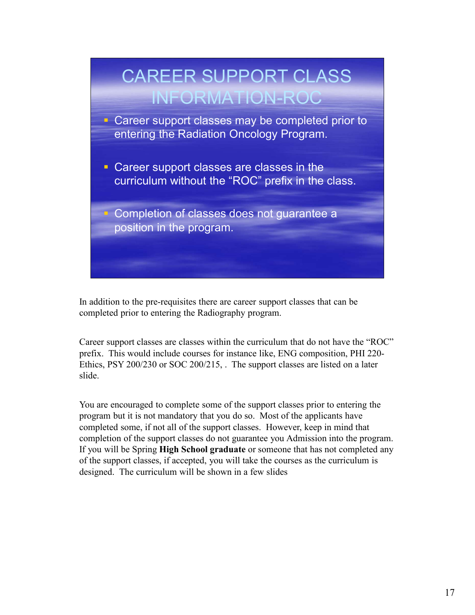

In addition to the pre-requisites there are career support classes that can be completed prior to entering the Radiography program.

Career support classes are classes within the curriculum that do not have the "ROC" prefix. This would include courses for instance like, ENG composition, PHI 220- Ethics, PSY 200/230 or SOC 200/215, . The support classes are listed on a later slide.

You are encouraged to complete some of the support classes prior to entering the program but it is not mandatory that you do so. Most of the applicants have completed some, if not all of the support classes. However, keep in mind that completion of the support classes do not guarantee you Admission into the program. If you will be Spring **High School graduate** or someone that has not completed any of the support classes, if accepted, you will take the courses as the curriculum is designed. The curriculum will be shown in a few slides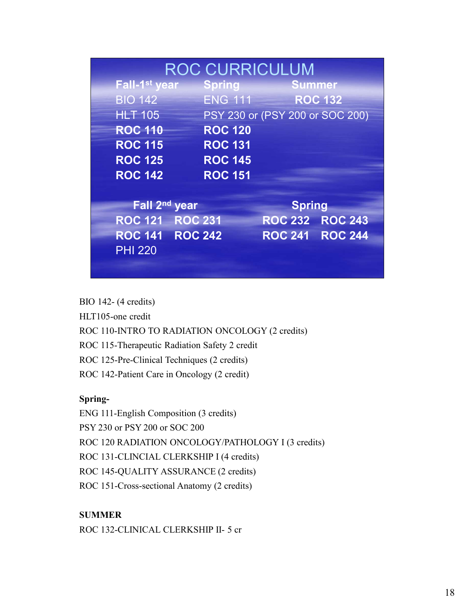|                                          |                |                | <b>ROC CURRICULUM</b>           |                                 |
|------------------------------------------|----------------|----------------|---------------------------------|---------------------------------|
| Fall-1 <sup>st</sup> year                |                | <b>Spring</b>  |                                 | <b>Summer</b>                   |
| <b>BIO 142</b>                           |                | <b>ENG 111</b> |                                 | <b>ROC 132</b>                  |
| <b>HLT 105</b>                           |                |                |                                 | PSY 230 or (PSY 200 or SOC 200) |
| <b>ROC 110</b>                           |                | <b>ROC 120</b> |                                 |                                 |
| <b>ROC 115</b>                           |                | <b>ROC 131</b> |                                 |                                 |
| <b>ROC 125</b>                           |                | <b>ROC 145</b> |                                 |                                 |
| <b>ROC 142</b>                           |                | <b>ROC 151</b> |                                 |                                 |
| Fall 2 <sup>nd</sup> year                |                |                |                                 |                                 |
|                                          | <b>ROC 231</b> |                | <b>Spring</b><br><b>ROC 232</b> | <b>ROC 243</b>                  |
|                                          |                |                |                                 |                                 |
| <b>ROC 121</b>                           |                |                |                                 |                                 |
| <b>ROC 141 ROC 242</b><br><b>PHI 220</b> |                |                |                                 | ROC 241 ROC 244                 |

ROC 125-Pre-Clinical Techniques (2 credits)

ROC 142-Patient Care in Oncology (2 credit)

#### Spring-

ENG 111-English Composition (3 credits) PSY 230 or PSY 200 or SOC 200 ROC 120 RADIATION ONCOLOGY/PATHOLOGY I (3 credits) ROC 131-CLINCIAL CLERKSHIP I (4 credits) ROC 145-QUALITY ASSURANCE (2 credits) ROC 151-Cross-sectional Anatomy (2 credits) ROC 110-INTRO TO RADIATION ONCOLOGY (2 credits)<br>ROC 115-Therapeutic Radiation Safety 2 credit<br>ROC 125-Pre-Clinical Techniques (2 credits)<br>ROC 124-Patient Care in Oneology (2 credit)<br>SPNI 111-English Composition (3 credits)

#### SUMMER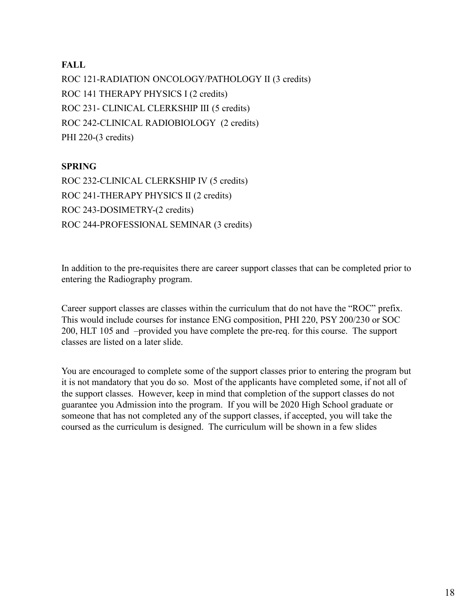#### **FALL**

ROC 121-RADIATION ONCOLOGY/PATHOLOGY II (3 credits) ROC 141 THERAPY PHYSICS I (2 credits) FALL<br>ROC 121-RADIATION ONCOLOGY/PATHOLOGY II (3 credits)<br>ROC 141 THERAPY PHYSICS I (2 credits)<br>ROC 231- CLINICAL CLERKSHIP III (5 credits)<br>ROC 242-CLINICAL RADIOBIOLOGY (2 credits)<br>PHI 220-(3 credits) ROC 242-CLINICAL RADIOBIOLOGY (2 credits) PHI 220-(3 credits)

#### SPRING

ROC 232-CLINICAL CLERKSHIP IV (5 credits) ROC 241-THERAPY PHYSICS II (2 credits) ROC 243-DOSIMETRY-(2 credits) ROC 244-PROFESSIONAL SEMINAR (3 credits)

In addition to the pre-requisites there are career support classes that can be completed prior to entering the Radiography program.

Career support classes are classes within the curriculum that do not have the "ROC" prefix. This would include courses for instance ENG composition, PHI 220, PSY 200/230 or SOC 200, HLT 105 and –provided you have complete the pre-req. for this course. The support classes are listed on a later slide.

You are encouraged to complete some of the support classes prior to entering the program but it is not mandatory that you do so. Most of the applicants have completed some, if not all of the support classes. However, keep in mind that completion of the support classes do not guarantee you Admission into the program. If you will be 2020 High School graduate or someone that has not completed any of the support classes, if accepted, you will take the coursed as the curriculum is designed. The curriculum will be shown in a few slides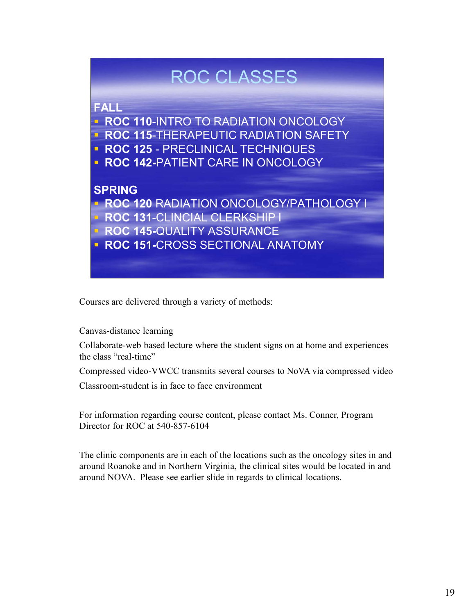## ROC CLASSES

### FALL

- **ROC 110-INTRO TO RADIATION ONCOLOGY** ROC CLASSES<br>
FALL<br>
• ROC 110-INTRO TO RADIATION ONCOLOGY<br>
• ROC 115-THERAPEUTIC RADIATION SAFETY<br>
• ROC 125 - PRECLINICAL TECHNIQUES<br>
• ROC 142-PATIENT CARE IN ONCOLOGY<br>
SPRING
- **ROC 115-THERAPEUTIC RADIATION SAFETY**
- 
- **ROC 142-PATIENT CARE IN ONCOLOGY**

#### SPRING

**ROC 120 RADIATION ONCOLOGY/PATHOLOGY I ROC 131-CLINCIAL CLERKSHIP I** 

- 
- **ROC 145-QUALITY ASSURANCE**
- **ROC 151-CROSS SECTIONAL ANATOMY**

Courses are delivered through a variety of methods:

Canvas-distance learning

Collaborate-web based lecture where the student signs on at home and experiences the class "real-time"

Compressed video-VWCC transmits several courses to NoVA via compressed video

Classroom-student is in face to face environment

For information regarding course content, please contact Ms. Conner, Program Director for ROC at 540-857-6104

The clinic components are in each of the locations such as the oncology sites in and around Roanoke and in Northern Virginia, the clinical sites would be located in and around NOVA. Please see earlier slide in regards to clinical locations.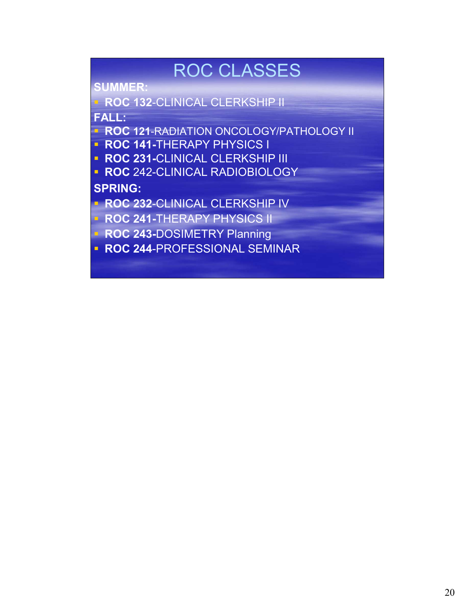## ROC CLASSES

SUMMER:

**ROC 132-CLINICAL CLERKSHIP II** FALL: ROC CLASSES<br>
SUMMER:<br>
• ROC 132-CLINICAL CLERKSHIP II<br>
FALL:<br>
• ROC 121-RADIATION ONCOLOGY/PATHOLOGY II<br>
• ROC 231-CLINICAL CLERKSHIP III<br>
• ROC 242-CLINICAL RADIOBIOLOGY<br>
• ROC 232-CLINICAL CLERKSHIP IV<br>
• ROC 232-CLINICA ROC CLASSES<br>
ROC 132-CLINICAL CLERKSHIP II<br>
FRLL:<br>
ROC 121-RADIATION ONCOLOGY/PATHOLOGY II<br>
ROC 241-CLINICAL CLERKSHIP III<br>
ROC 242-CLINICAL CLERKSHIP III<br>
ROC 242-CLINICAL CLERKSHIP IV<br>
ROC 244-THERAPY PHYSICS II<br>
ROC 244

- **ROC 121-RADIATION ONCOLOGY/PATHOLOGY II**
- **ROC 141-THERAPY PHYSICS I**
- 
- 

SPRING:

**ROC 232-CLINICAL CLERKSHIP IV**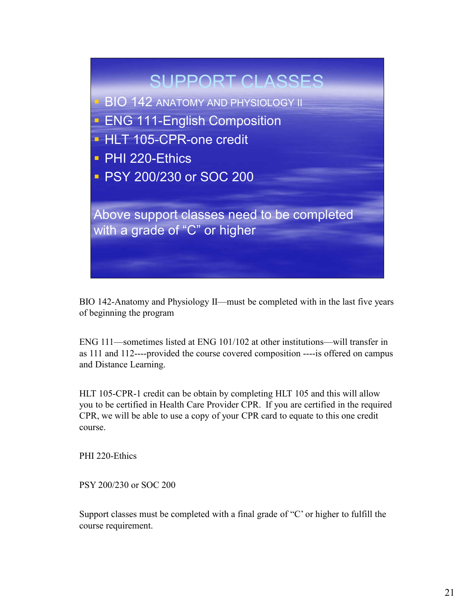

BIO 142-Anatomy and Physiology II—must be completed with in the last five years of beginning the program

ENG 111—sometimes listed at ENG 101/102 at other institutions—will transfer in as 111 and 112----provided the course covered composition ----is offered on campus and Distance Learning.

HLT 105-CPR-1 credit can be obtain by completing HLT 105 and this will allow you to be certified in Health Care Provider CPR. If you are certified in the required CPR, we will be able to use a copy of your CPR card to equate to this one credit course.

PHI 220-Ethics

PSY 200/230 or SOC 200

Support classes must be completed with a final grade of "C' or higher to fulfill the course requirement.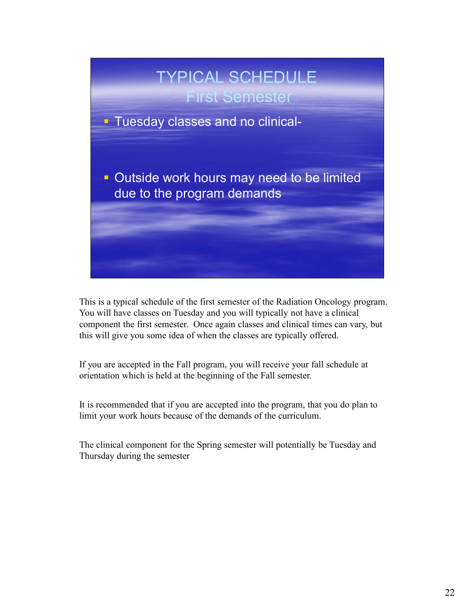

This is a typical schedule of the first semester of the Radiation Oncology program. You will have classes on Tuesday and you will typically not have a clinical component the first semester. Once again classes and clinical times can vary, but this will give you some idea of when the classes are typically offered.

If you are accepted in the Fall program, you will receive your fall schedule at orientation which is held at the beginning of the Fall semester.

It is recommended that if you are accepted into the program, that you do plan to limit your work hours because of the demands of the curriculum.

The clinical component for the Spring semester will potentially be Tuesday and Thursday during the semester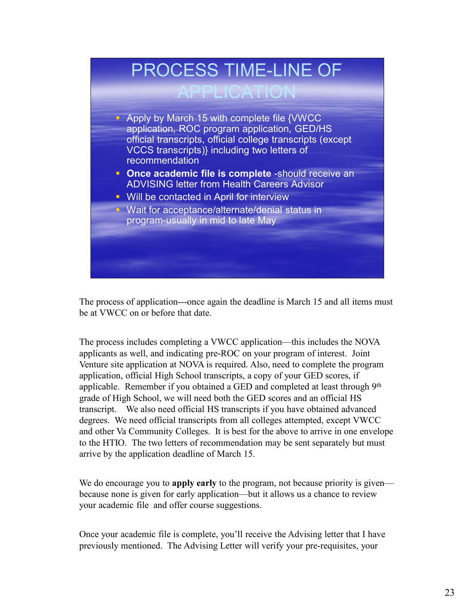

The process of application---once again the deadline is March 15 and all items must be at VWCC on or before that date.

The process includes completing a VWCC application—this includes the NOVA applicants as well, and indicating pre-ROC on your program of interest. Joint Venture site application at NOVA is required. Also, need to complete the program application, official High School transcripts, a copy of your GED scores, if applicable. Remember if you obtained a GED and completed at least through 9<sup>th</sup> grade of High School, we will need both the GED scores and an official HS transcript. We also need official HS transcripts if you have obtained advanced degrees. We need official transcripts from all colleges attempted, except VWCC and other Va Community Colleges. It is best for the above to arrive in one envelope to the HTIO. The two letters of recommendation may be sent separately but must arrive by the application deadline of March 15.

We do encourage you to **apply early** to the program, not because priority is given because none is given for early application—but it allows us a chance to review your academic file and offer course suggestions.

Once your academic file is complete, you'll receive the Advising letter that I have previously mentioned. The Advising Letter will verify your pre-requisites, your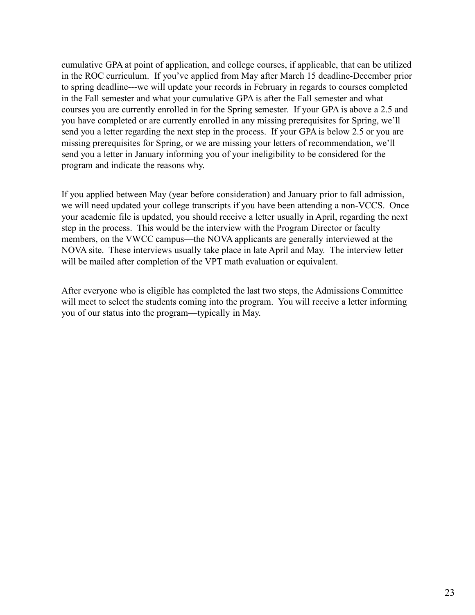cumulative GPA at point of application, and college courses, if applicable, that can be utilized in the ROC curriculum. If you've applied from May after March 15 deadline-December prior to spring deadline---we will update your records in February in regards to courses completed in the Fall semester and what your cumulative GPA is after the Fall semester and what courses you are currently enrolled in for the Spring semester. If your GPA is above a 2.5 and you have completed or are currently enrolled in any missing prerequisites for Spring, we'll send you a letter regarding the next step in the process. If your GPA is below 2.5 or you are missing prerequisites for Spring, or we are missing your letters of recommendation, we'll send you a letter in January informing you of your ineligibility to be considered for the program and indicate the reasons why.

If you applied between May (year before consideration) and January prior to fall admission, we will need updated your college transcripts if you have been attending a non-VCCS. Once your academic file is updated, you should receive a letter usually in April, regarding the next step in the process. This would be the interview with the Program Director or faculty members, on the VWCC campus—the NOVA applicants are generally interviewed at the NOVA site. These interviews usually take place in late April and May. The interview letter will be mailed after completion of the VPT math evaluation or equivalent.

After everyone who is eligible has completed the last two steps, the Admissions Committee will meet to select the students coming into the program. You will receive a letter informing you of our status into the program—typically in May.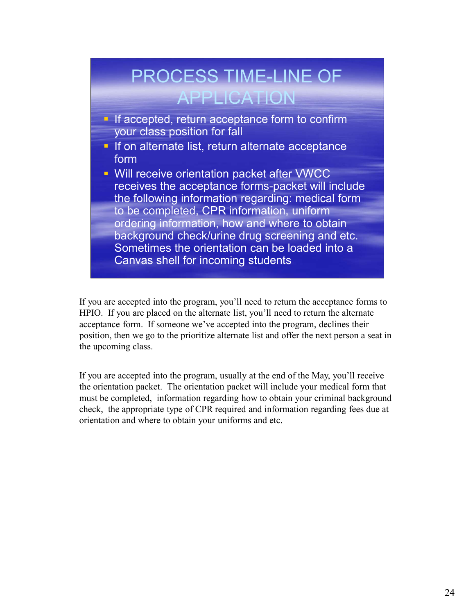

If you are accepted into the program, you'll need to return the acceptance forms to HPIO. If you are placed on the alternate list, you'll need to return the alternate acceptance form. If someone we've accepted into the program, declines their position, then we go to the prioritize alternate list and offer the next person a seat in the upcoming class.

If you are accepted into the program, usually at the end of the May, you'll receive the orientation packet. The orientation packet will include your medical form that must be completed, information regarding how to obtain your criminal background check, the appropriate type of CPR required and information regarding fees due at orientation and where to obtain your uniforms and etc.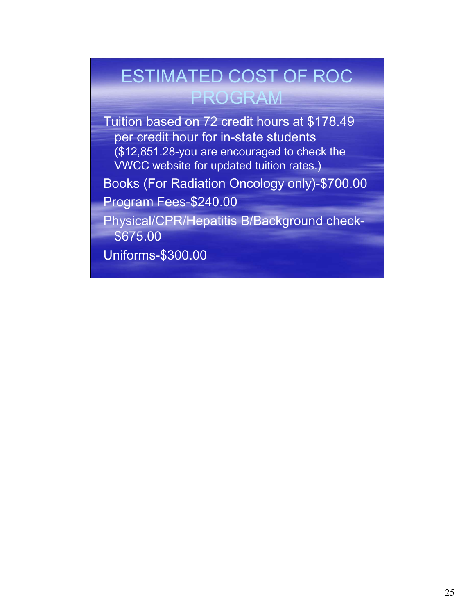## ESTIMATED COST OF ROC PROGRAM

Tuition based on 72 credit hours at \$178.49 per credit hour for in-state students (\$12,851.28-you are encouraged to check the VWCC website for updated tuition rates.)

Books (For Radiation Oncology only)-\$700.00

Program Fees-\$240.00

Physical/CPR/Hepatitis B/Background check- \$675.00

Uniforms-\$300.00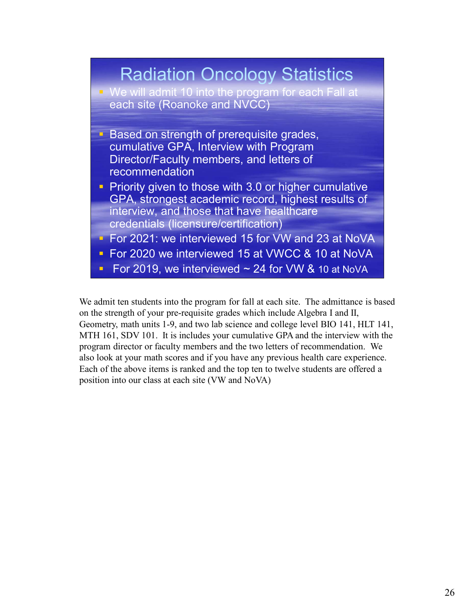

We admit ten students into the program for fall at each site. The admittance is based on the strength of your pre-requisite grades which include Algebra I and II, Geometry, math units 1-9, and two lab science and college level BIO 141, HLT 141, MTH 161, SDV 101. It is includes your cumulative GPA and the interview with the program director or faculty members and the two letters of recommendation. We also look at your math scores and if you have any previous health care experience. Each of the above items is ranked and the top ten to twelve students are offered a position into our class at each site (VW and NoVA)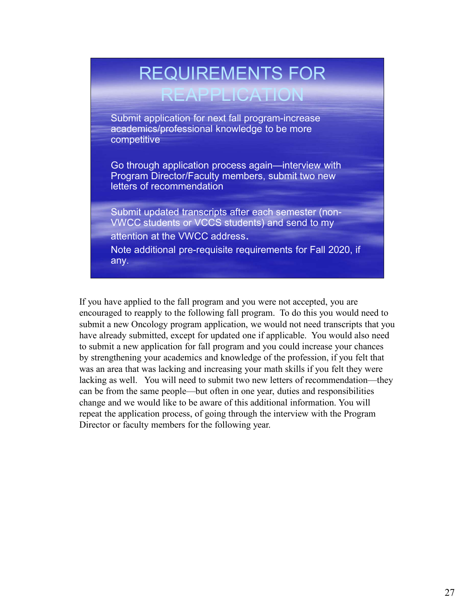# REQUIREMENTS FOR

### REAPPLICATION

Submit application for next fall program-increase academics/professional knowledge to be more competitive

Go through application process again—interview with Program Director/Faculty members, submit two new letters of recommendation

Submit updated transcripts after each semester (non-VWCC students or VCCS students) and send to my attention at the VWCC address.

Note additional pre-requisite requirements for Fall 2020, if any.

If you have applied to the fall program and you were not accepted, you are encouraged to reapply to the following fall program. To do this you would need to submit a new Oncology program application, we would not need transcripts that you have already submitted, except for updated one if applicable. You would also need to submit a new application for fall program and you could increase your chances by strengthening your academics and knowledge of the profession, if you felt that was an area that was lacking and increasing your math skills if you felt they were lacking as well. You will need to submit two new letters of recommendation—they can be from the same people—but often in one year, duties and responsibilities change and we would like to be aware of this additional information. You will repeat the application process, of going through the interview with the Program Director or faculty members for the following year.